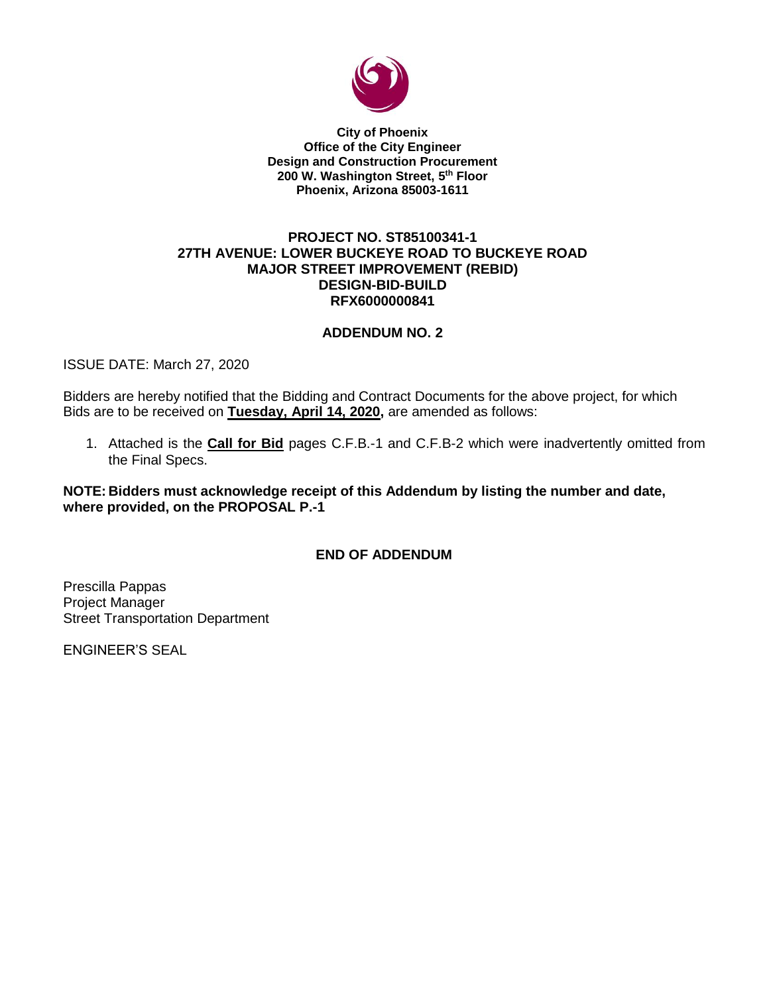

**City of Phoenix Office of the City Engineer Design and Construction Procurement 200 W. Washington Street, 5 th Floor Phoenix, Arizona 85003-1611**

#### **PROJECT NO. ST85100341-1 27TH AVENUE: LOWER BUCKEYE ROAD TO BUCKEYE ROAD MAJOR STREET IMPROVEMENT (REBID) DESIGN-BID-BUILD RFX6000000841**

### **ADDENDUM NO. 2**

ISSUE DATE: March 27, 2020

Bidders are hereby notified that the Bidding and Contract Documents for the above project, for which Bids are to be received on **Tuesday, April 14, 2020,** are amended as follows:

1. Attached is the **Call for Bid** pages C.F.B.-1 and C.F.B-2 which were inadvertently omitted from the Final Specs.

**NOTE: Bidders must acknowledge receipt of this Addendum by listing the number and date, where provided, on the PROPOSAL P.-1**

### **END OF ADDENDUM**

Prescilla Pappas Project Manager Street Transportation Department

ENGINEER'S SEAL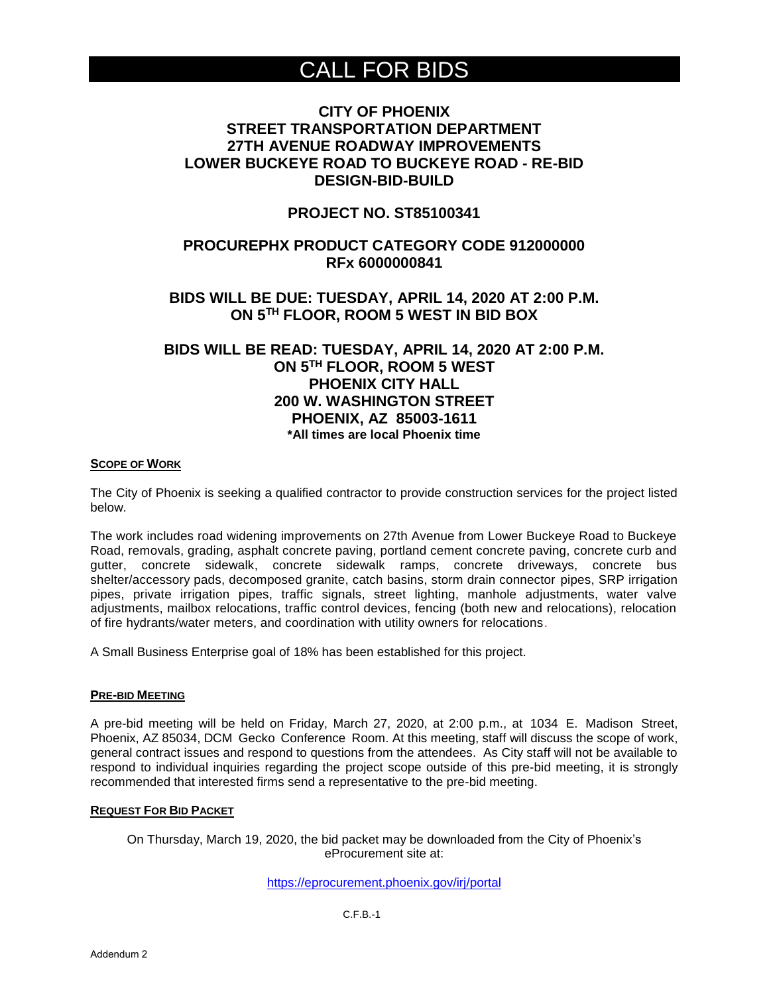# CALL FOR BIDS

# **CITY OF PHOENIX STREET TRANSPORTATION DEPARTMENT 27TH AVENUE ROADWAY IMPROVEMENTS LOWER BUCKEYE ROAD TO BUCKEYE ROAD - RE-BID DESIGN-BID-BUILD**

### **PROJECT NO. ST85100341**

# **PROCUREPHX PRODUCT CATEGORY CODE 912000000 RFx 6000000841**

### **BIDS WILL BE DUE: TUESDAY, APRIL 14, 2020 AT 2:00 P.M. ON 5TH FLOOR, ROOM 5 WEST IN BID BOX**

# **BIDS WILL BE READ: TUESDAY, APRIL 14, 2020 AT 2:00 P.M. ON 5 TH FLOOR, ROOM 5 WEST PHOENIX CITY HALL 200 W. WASHINGTON STREET PHOENIX, AZ 85003-1611 \*All times are local Phoenix time**

#### **SCOPE OF WORK**

The City of Phoenix is seeking a qualified contractor to provide construction services for the project listed below.

The work includes road widening improvements on 27th Avenue from Lower Buckeye Road to Buckeye Road, removals, grading, asphalt concrete paving, portland cement concrete paving, concrete curb and gutter, concrete sidewalk, concrete sidewalk ramps, concrete driveways, concrete bus shelter/accessory pads, decomposed granite, catch basins, storm drain connector pipes, SRP irrigation pipes, private irrigation pipes, traffic signals, street lighting, manhole adjustments, water valve adjustments, mailbox relocations, traffic control devices, fencing (both new and relocations), relocation of fire hydrants/water meters, and coordination with utility owners for relocations.

A Small Business Enterprise goal of 18% has been established for this project.

#### **PRE-BID MEETING**

A pre-bid meeting will be held on Friday, March 27, 2020, at 2:00 p.m., at 1034 E. Madison Street, Phoenix, AZ 85034, DCM Gecko Conference Room. At this meeting, staff will discuss the scope of work, general contract issues and respond to questions from the attendees. As City staff will not be available to respond to individual inquiries regarding the project scope outside of this pre-bid meeting, it is strongly recommended that interested firms send a representative to the pre-bid meeting.

#### **REQUEST FOR BID PACKET**

On Thursday, March 19, 2020, the bid packet may be downloaded from the City of Phoenix's eProcurement site at:

<https://eprocurement.phoenix.gov/irj/portal>

C.F.B.-1